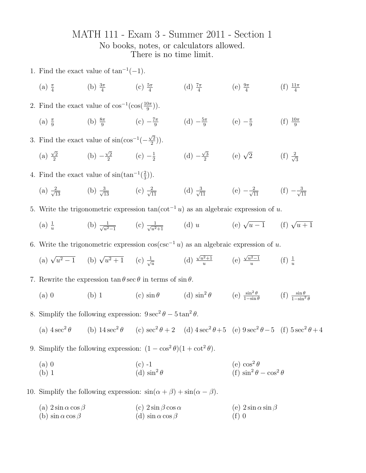## MATH 111 - Exam 3 - Summer 2011 - Section 1 No books, notes, or calculators allowed. There is no time limit.

- 1. Find the exact value of  $\tan^{-1}(-1)$ .
	- (a)  $\frac{\pi}{4}$ (b)  $\frac{3\pi}{4}$  (c)  $\frac{5\pi}{4}$ (d)  $\frac{7\pi}{4}$  (e)  $\frac{9\pi}{4}$  $(f) \frac{11\pi}{4}$
- 2. Find the exact value of  $\cos^{-1}(\cos(\frac{10\pi}{9}))$ .
	- (a)  $\frac{\pi}{9}$ (b)  $\frac{8\pi}{9}$  (c)  $-\frac{7\pi}{9}$  $rac{7\pi}{9}$  (d)  $-\frac{5\pi}{9}$  $\frac{6\pi}{9}$  (e)  $-\frac{\pi}{9}$ 9  $(f) \frac{10\pi}{9}$

3. Find the exact value of  $\sin(\cos^{-1}(-))$  $\sqrt{2}$  $\frac{\sqrt{2}}{2})$ ).

- (a)  $\sqrt{2}$  $\frac{\sqrt{2}}{2}$  (b) –  $\sqrt{2}$  $\frac{\sqrt{2}}{2}$  (c)  $-\frac{1}{2}$  $rac{1}{2}$  (d) –  $\sqrt{3}$  $\frac{\sqrt{3}}{2}$  (e)  $\sqrt{2}$  (f)  $\frac{2}{\sqrt{3}}$ 2 3
- 4. Find the exact value of  $\sin(\tan^{-1}(\frac{2}{3}))$  $(\frac{2}{3})$ .
	- (a)  $\frac{2}{\sqrt{13}}$  (b)  $\frac{3}{\sqrt{13}}$  (c)  $\frac{2}{\sqrt{11}}$  (d)  $\frac{3}{\sqrt{11}}$  (e)  $-\frac{2}{\sqrt{11}}$  (f)  $-\frac{3}{\sqrt{1}}$ 11
- 5. Write the trigonometric expression  $tan(cot^{-1} u)$  as an algebraic expression of u.
	- $(a) \frac{1}{u}$ (b)  $\frac{1}{\sqrt{a^2}}$  $\frac{1}{u^2-1}$  (c)  $\frac{1}{\sqrt{u^2+1}}$  (d) u (e)  $\sqrt{ }$  $u-1$  (f)  $\sqrt{u+1}$
- 6. Write the trigonometric expression  $cos(csc^{-1} u)$  as an algebraic expression of u.
	- (a)  $\sqrt{u^2-1}$  (b)  $\sqrt{u^2+1}$  (c)  $\frac{1}{u^2}$  $\overline{u}$ (d)  $\sqrt{u^2+1}$  $\frac{u^2+1}{u}$  (e)  $\sqrt{u^2-1}$  $\frac{u^{2}-1}{u}$  (f)  $\frac{1}{u}$

7. Rewrite the expression  $\tan \theta \sec \theta$  in terms of  $\sin \theta$ .

- (a) 0 (b) 1 (c)  $\sin \theta$  (d)  $\sin^2 \theta$  (e)  $\frac{\sin^2 \theta}{1-\sin \theta}$  (f)  $\frac{\sin \theta}{1-\sin^2 \theta}$
- 8. Simplify the following expression:  $9 \sec^2 \theta 5 \tan^2 \theta$ .

(a)  $4 \sec^2 \theta$ θ (b) 14 sec<sup>2</sup> θ (c) sec<sup>2</sup> θ + 2 (d) 4 sec<sup>2</sup> θ + 5 (e) 9 sec<sup>2</sup> θ − 5 (f) 5 sec<sup>2</sup> θ + 4

9. Simplify the following expression:  $(1 - \cos^2 \theta)(1 + \cot^2 \theta)$ .

- (a) 0  $(c) -1$ (e)  $\cos^2\theta$
- (b) 1 (d)  $\sin^2\theta$ (f)  $\sin^2 \theta - \cos^2 \theta$

10. Simplify the following expression:  $sin(\alpha + \beta) + sin(\alpha - \beta)$ .

- (a)  $2 \sin \alpha \cos \beta$ (c)  $2 \sin \beta \cos \alpha$ (e)  $2 \sin \alpha \sin \beta$
- (b)  $\sin \alpha \cos \beta$ (d)  $\sin \alpha \cos \beta$  $(f)$  0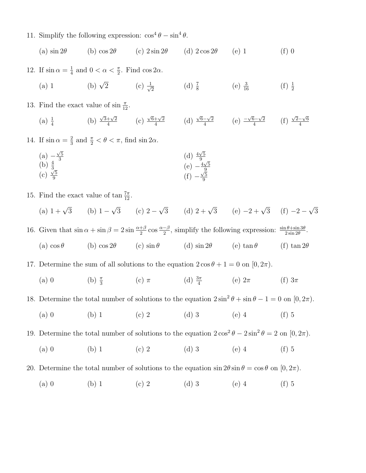11. Simplify the following expression:  $\cos^4 \theta - \sin^4 \theta$ .

(a)  $\sin 2\theta$  (b)  $\cos 2\theta$  (c)  $2\sin 2\theta$  (d)  $2\cos 2\theta$  (e) 1 (f) 0

12. If  $\sin \alpha = \frac{1}{4}$  $\frac{1}{4}$  and  $0 < \alpha < \frac{\pi}{2}$ . Find  $\cos 2\alpha$ .

- (a) 1 (b)  $\sqrt{2}$  $\overline{2}$  (c)  $\frac{1}{\sqrt{2}}$  $\frac{1}{2}$  (d)  $\frac{7}{8}$  (e)  $\frac{3}{16}$  (f)  $\frac{1}{2}$  $(f) \frac{1}{2}$
- 13. Find the exact value of  $\sin \frac{\pi}{12}$ .

 $(a) \frac{1}{4}$ (b)  $\sqrt{3}+\sqrt{2}$  $\frac{+\sqrt{2}}{4}$  (c)  $\sqrt{6}+\sqrt{2}$  $\frac{+\sqrt{2}}{4}$  (d)  $\sqrt{6}-\sqrt{2}$  $\frac{-\sqrt{2}}{4}$  (e)  $\frac{-\sqrt{6}-\sqrt{2}}{4}$  $\frac{5-\sqrt{2}}{4}$  (f)  $\sqrt{2}-\sqrt{6}$ 4

14. If  $\sin \alpha = \frac{2}{3}$  $\frac{2}{3}$  and  $\frac{\pi}{2} < \theta < \pi$ , find sin  $2\alpha$ .

(a) 
$$
-\frac{\sqrt{5}}{3}
$$
  
\n(b)  $\frac{4}{3}$   
\n(c)  $\frac{\sqrt{5}}{9}$   
\n(d)  $\frac{4\sqrt{5}}{9}$   
\n(e)  $-\frac{4\sqrt{5}}{9}$   
\n(f)  $-\frac{\sqrt{5}}{9}$ 

- 15. Find the exact value of  $\tan \frac{7\pi}{12}$ .
	- (a)  $1 + \sqrt{3}$  (b)  $1 -$ √ 3 (c)  $2 \sqrt{3}$  (d)  $2 + \sqrt{3}$  (e)  $-2 + \sqrt{3}$  (f)  $-2 -$ √ 3

16. Given that  $\sin \alpha + \sin \beta = 2 \sin \frac{\alpha + \beta}{2} \cos \frac{\alpha - \beta}{2}$ , simplify the following expression:  $\frac{\sin \theta + \sin 3\theta}{2 \sin 2\theta}$ . (a)  $\cos \theta$  (b)  $\cos 2\theta$  (c)  $\sin \theta$  (d)  $\sin 2\theta$  (e)  $\tan \theta$  (f)  $\tan 2\theta$ 

17. Determine the sum of all solutions to the equation  $2 \cos \theta + 1 = 0$  on  $[0, 2\pi)$ .

(a) 0 (b)  $\frac{\pi}{3}$ (c)  $\pi$  (d)  $\frac{3\pi}{4}$ (e)  $2\pi$  (f)  $3\pi$ 

18. Determine the total number of solutions to the equation  $2\sin^2\theta + \sin\theta - 1 = 0$  on  $[0, 2\pi)$ .

(a) 0 (b) 1 (c) 2 (d) 3 (e) 4 (f) 5

19. Determine the total number of solutions to the equation  $2\cos^2\theta - 2\sin^2\theta = 2$  on  $[0, 2\pi)$ .

(a) 0 (b) 1 (c) 2 (d) 3 (e) 4 (f) 5

20. Determine the total number of solutions to the equation  $\sin 2\theta \sin \theta = \cos \theta$  on  $[0, 2\pi)$ .

(a) 0 (b) 1 (c) 2 (d) 3 (e) 4 (f) 5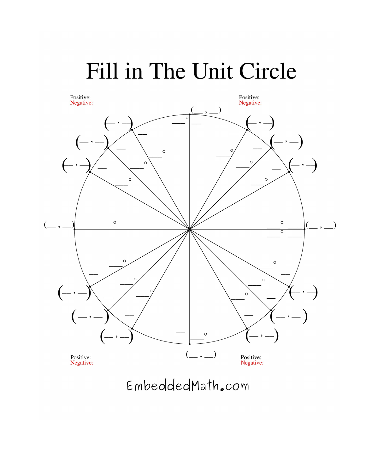## Fill in The Unit Circle



EmbeddedMath.com